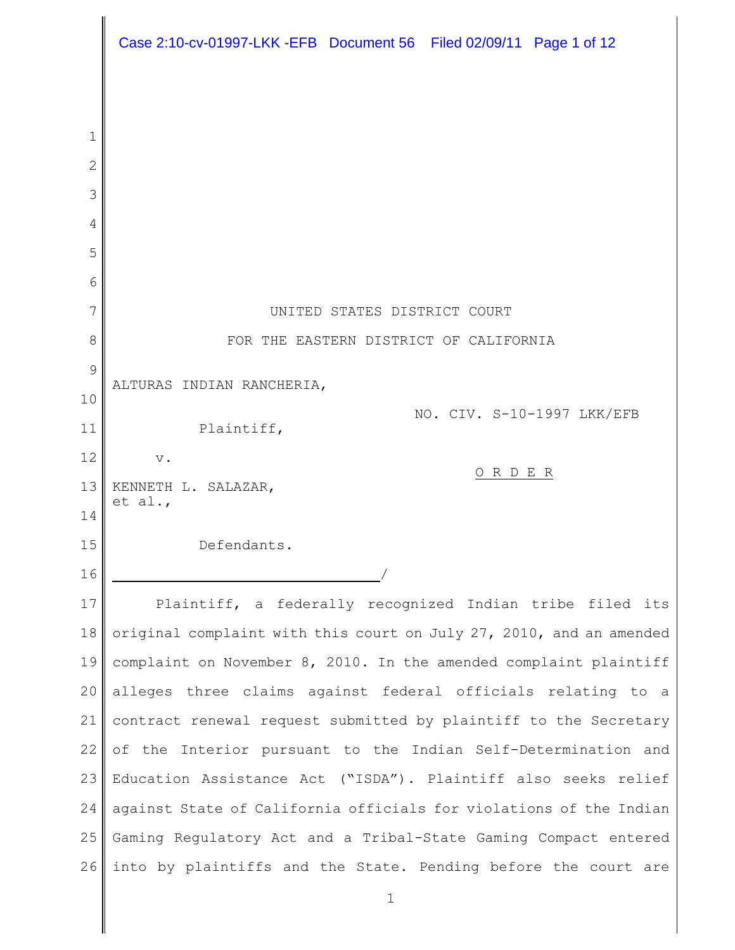|                | Case 2:10-cv-01997-LKK -EFB Document 56 Filed 02/09/11 Page 1 of 12 |
|----------------|---------------------------------------------------------------------|
|                |                                                                     |
| 1              |                                                                     |
| $\overline{2}$ |                                                                     |
| 3              |                                                                     |
| 4              |                                                                     |
| 5              |                                                                     |
| 6              |                                                                     |
| 7              | UNITED STATES DISTRICT COURT                                        |
| 8              | FOR THE EASTERN DISTRICT OF CALIFORNIA                              |
| 9              | ALTURAS INDIAN RANCHERIA,                                           |
| 10             | NO. CIV. S-10-1997 LKK/EFB                                          |
| 11             | Plaintiff,                                                          |
| 12             | $\mathbf v$ .<br>ORDER                                              |
| 13             | KENNETH L. SALAZAR,<br>et al.,                                      |
| 14             |                                                                     |
| 15             | Defendants.                                                         |
| 16             |                                                                     |
| 17             | Plaintiff, a federally recognized Indian tribe filed its            |
| 18             | original complaint with this court on July 27, 2010, and an amended |
| 19             | complaint on November 8, 2010. In the amended complaint plaintiff   |
| 20             | alleges three claims against federal officials relating to a        |
| 21             | contract renewal request submitted by plaintiff to the Secretary    |
| 22             | of the Interior pursuant to the Indian Self-Determination and       |
| 23             | Education Assistance Act ("ISDA"). Plaintiff also seeks relief      |
| 24             | against State of California officials for violations of the Indian  |
| 25             | Gaming Regulatory Act and a Tribal-State Gaming Compact entered     |
| 26             | into by plaintiffs and the State. Pending before the court are      |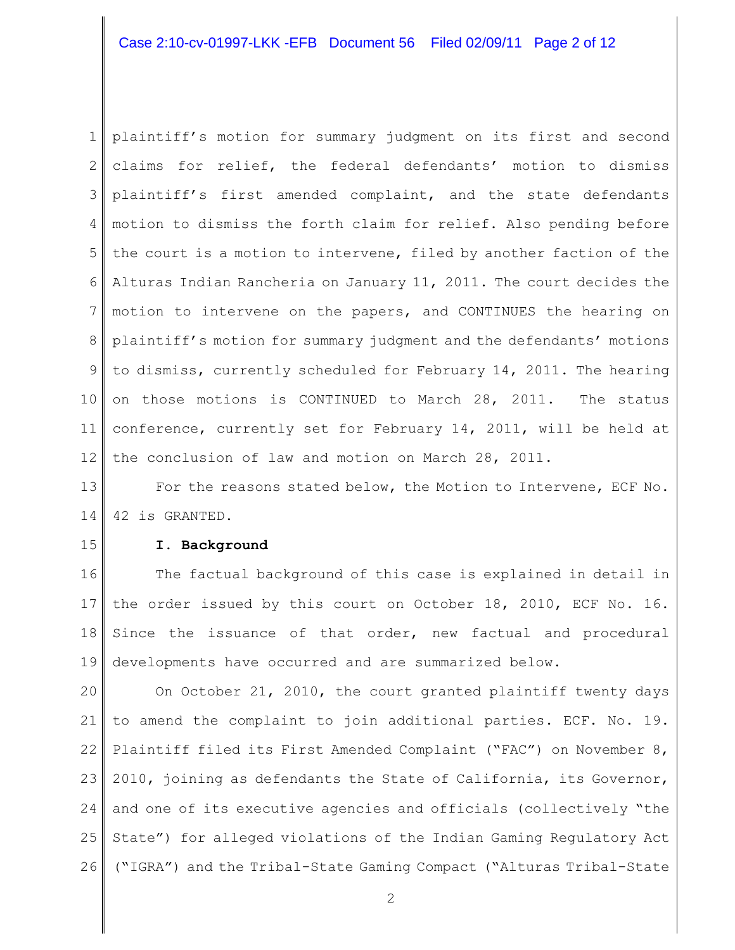# Case 2:10-cv-01997-LKK -EFB Document 56 Filed 02/09/11 Page 2 of 12

1 2 3 4 5 6 7 8 9 10 11 12 plaintiff's motion for summary judgment on its first and second claims for relief, the federal defendants' motion to dismiss plaintiff's first amended complaint, and the state defendants motion to dismiss the forth claim for relief. Also pending before the court is a motion to intervene, filed by another faction of the Alturas Indian Rancheria on January 11, 2011. The court decides the motion to intervene on the papers, and CONTINUES the hearing on plaintiff's motion for summary judgment and the defendants' motions to dismiss, currently scheduled for February 14, 2011. The hearing on those motions is CONTINUED to March 28, 2011. The status conference, currently set for February 14, 2011, will be held at the conclusion of law and motion on March 28, 2011.

13 14 For the reasons stated below, the Motion to Intervene, ECF No. 42 is GRANTED.

15

# **I. Background**

16 17 18 19 The factual background of this case is explained in detail in the order issued by this court on October 18, 2010, ECF No. 16. Since the issuance of that order, new factual and procedural developments have occurred and are summarized below.

20 21 22 23 24 25 26 On October 21, 2010, the court granted plaintiff twenty days to amend the complaint to join additional parties. ECF. No. 19. Plaintiff filed its First Amended Complaint ("FAC") on November 8, 2010, joining as defendants the State of California, its Governor, and one of its executive agencies and officials (collectively "the State") for alleged violations of the Indian Gaming Regulatory Act ("IGRA") and the Tribal-State Gaming Compact ("Alturas Tribal-State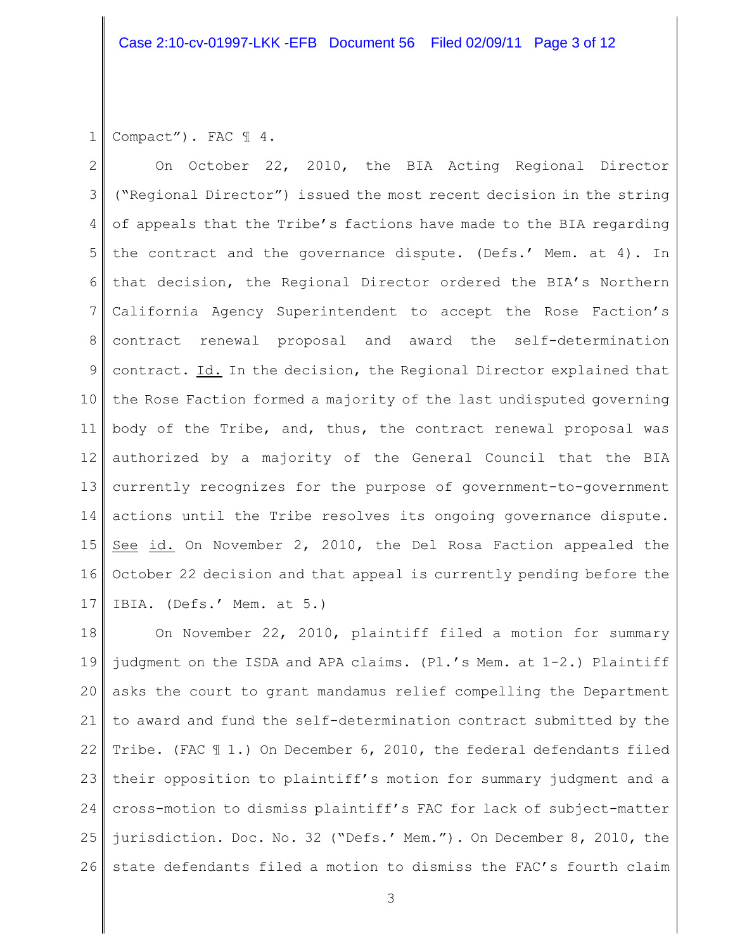1 Compact"). FAC  $\mathbb{I}$  4.

2 3 4 5 6 7 8 9 10 11 12 13 14 15 16 17 On October 22, 2010, the BIA Acting Regional Director ("Regional Director") issued the most recent decision in the string of appeals that the Tribe's factions have made to the BIA regarding the contract and the governance dispute. (Defs.' Mem. at 4). In that decision, the Regional Director ordered the BIA's Northern California Agency Superintendent to accept the Rose Faction's contract renewal proposal and award the self-determination contract. Id. In the decision, the Regional Director explained that the Rose Faction formed a majority of the last undisputed governing body of the Tribe, and, thus, the contract renewal proposal was authorized by a majority of the General Council that the BIA currently recognizes for the purpose of government-to-government actions until the Tribe resolves its ongoing governance dispute. See id. On November 2, 2010, the Del Rosa Faction appealed the October 22 decision and that appeal is currently pending before the IBIA. (Defs.' Mem. at 5.)

18 19 20 21 22 23 24 25 26 On November 22, 2010, plaintiff filed a motion for summary judgment on the ISDA and APA claims. (Pl.'s Mem. at 1-2.) Plaintiff asks the court to grant mandamus relief compelling the Department to award and fund the self-determination contract submitted by the Tribe. (FAC ¶ 1.) On December 6, 2010, the federal defendants filed their opposition to plaintiff's motion for summary judgment and a cross-motion to dismiss plaintiff's FAC for lack of subject-matter jurisdiction. Doc. No. 32 ("Defs.' Mem."). On December 8, 2010, the state defendants filed a motion to dismiss the FAC's fourth claim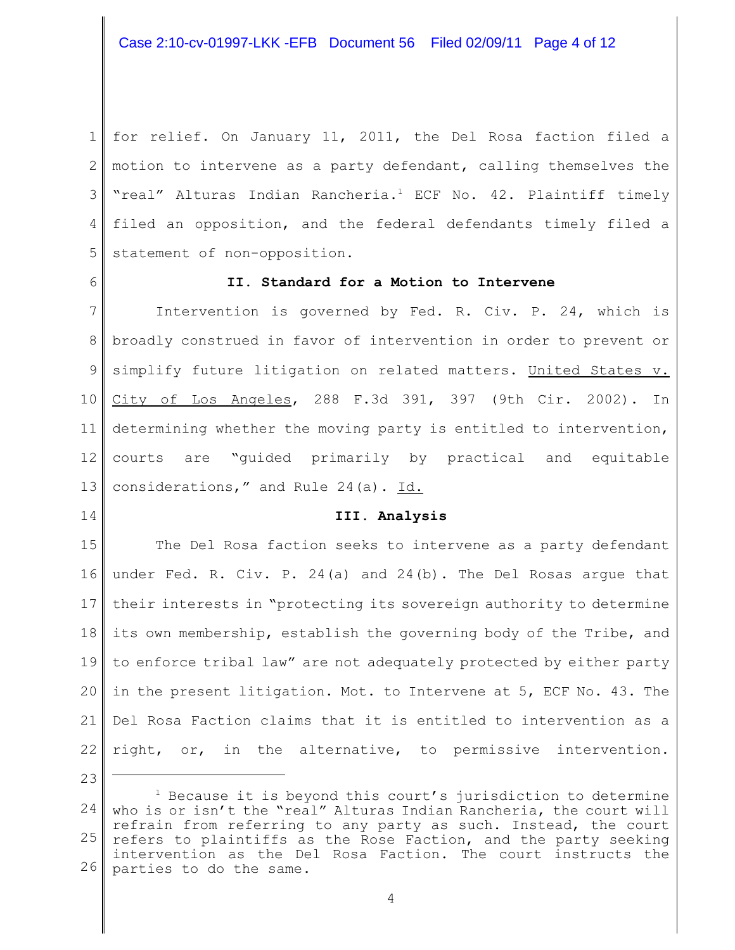1 2 3 4 5 for relief. On January 11, 2011, the Del Rosa faction filed a motion to intervene as a party defendant, calling themselves the "real" Alturas Indian Rancheria.<sup>1</sup> ECF No. 42. Plaintiff timely filed an opposition, and the federal defendants timely filed a statement of non-opposition.

6

# **II. Standard for a Motion to Intervene**

7 8 9 10 11 12 13 Intervention is governed by Fed. R. Civ. P. 24, which is broadly construed in favor of intervention in order to prevent or simplify future litigation on related matters. United States v. City of Los Angeles, 288 F.3d 391, 397 (9th Cir. 2002). In determining whether the moving party is entitled to intervention, courts are "guided primarily by practical and equitable considerations," and Rule 24(a). Id.

14

### **III. Analysis**

15 16 17 18 19 20 21 22 The Del Rosa faction seeks to intervene as a party defendant under Fed. R. Civ. P. 24(a) and 24(b). The Del Rosas argue that their interests in "protecting its sovereign authority to determine its own membership, establish the governing body of the Tribe, and to enforce tribal law" are not adequately protected by either party in the present litigation. Mot. to Intervene at 5, ECF No. 43. The Del Rosa Faction claims that it is entitled to intervention as a right, or, in the alternative, to permissive intervention.

<sup>24</sup> 25 26  $1$  Because it is beyond this court's jurisdiction to determine who is or isn't the "real" Alturas Indian Rancheria, the court will refrain from referring to any party as such. Instead, the court refers to plaintiffs as the Rose Faction, and the party seeking intervention as the Del Rosa Faction. The court instructs the parties to do the same.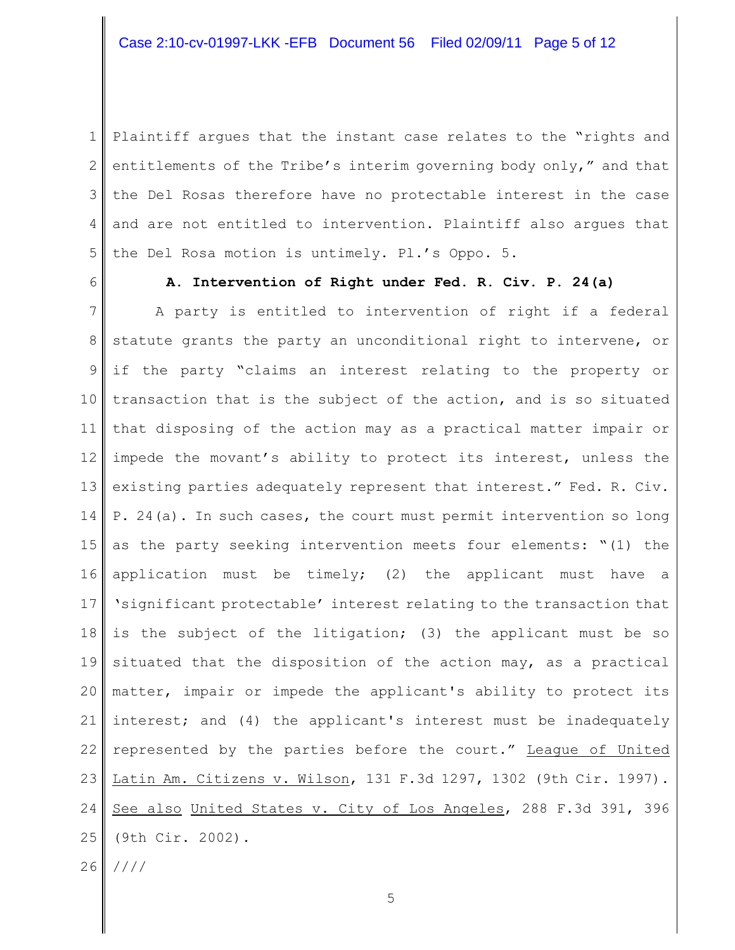1 2 3 4 5 Plaintiff argues that the instant case relates to the "rights and entitlements of the Tribe's interim governing body only," and that the Del Rosas therefore have no protectable interest in the case and are not entitled to intervention. Plaintiff also argues that the Del Rosa motion is untimely. Pl.'s Oppo. 5.

6

## **A. Intervention of Right under Fed. R. Civ. P. 24(a)**

7 8 9 10 11 12 13 14 15 16 17 18 19 20 21 22 23 24 25 26 A party is entitled to intervention of right if a federal statute grants the party an unconditional right to intervene, or if the party "claims an interest relating to the property or transaction that is the subject of the action, and is so situated that disposing of the action may as a practical matter impair or impede the movant's ability to protect its interest, unless the existing parties adequately represent that interest." Fed. R. Civ. P. 24(a). In such cases, the court must permit intervention so long as the party seeking intervention meets four elements: "(1) the application must be timely; (2) the applicant must have a 'significant protectable' interest relating to the transaction that is the subject of the litigation; (3) the applicant must be so situated that the disposition of the action may, as a practical matter, impair or impede the applicant's ability to protect its interest; and (4) the applicant's interest must be inadequately represented by the parties before the court." League of United Latin Am. Citizens v. Wilson, 131 F.3d 1297, 1302 (9th Cir. 1997). See also United States v. City of Los Angeles, 288 F.3d 391, 396 (9th Cir. 2002). ////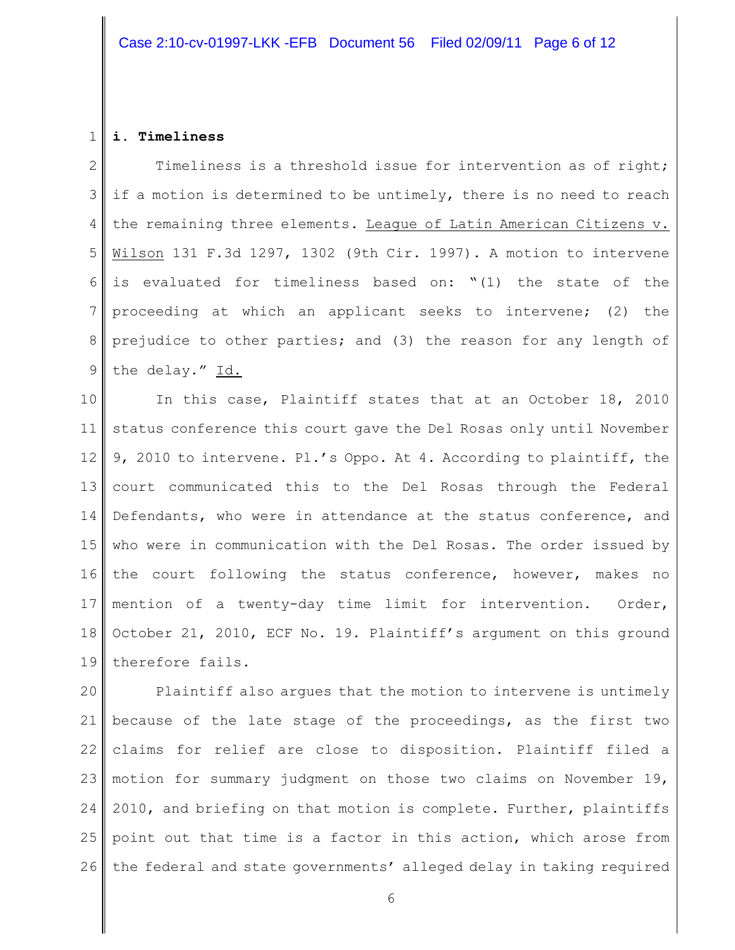#### 1 **i. Timeliness**

2 3 4 5 6 7 8 9 Timeliness is a threshold issue for intervention as of right; if a motion is determined to be untimely, there is no need to reach the remaining three elements. League of Latin American Citizens v. Wilson 131 F.3d 1297, 1302 (9th Cir. 1997). A motion to intervene is evaluated for timeliness based on: "(1) the state of the proceeding at which an applicant seeks to intervene; (2) the prejudice to other parties; and (3) the reason for any length of the delay." Id.

10 11 12 13 14 15 16 17 18 19 In this case, Plaintiff states that at an October 18, 2010 status conference this court gave the Del Rosas only until November 9, 2010 to intervene. Pl.'s Oppo. At 4. According to plaintiff, the court communicated this to the Del Rosas through the Federal Defendants, who were in attendance at the status conference, and who were in communication with the Del Rosas. The order issued by the court following the status conference, however, makes no mention of a twenty-day time limit for intervention. Order, October 21, 2010, ECF No. 19. Plaintiff's argument on this ground therefore fails.

20 21 22 23 24 25 26 Plaintiff also argues that the motion to intervene is untimely because of the late stage of the proceedings, as the first two claims for relief are close to disposition. Plaintiff filed a motion for summary judgment on those two claims on November 19, 2010, and briefing on that motion is complete. Further, plaintiffs point out that time is a factor in this action, which arose from the federal and state governments' alleged delay in taking required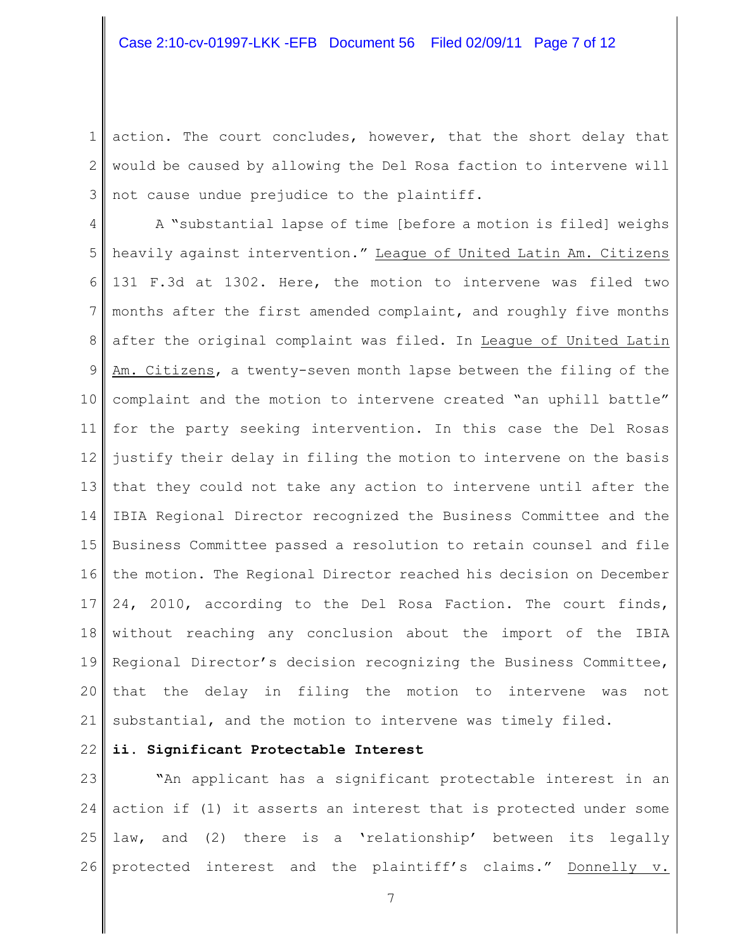1 2 3 action. The court concludes, however, that the short delay that would be caused by allowing the Del Rosa faction to intervene will not cause undue prejudice to the plaintiff.

4 5 6 7 8 9 10 11 12 13 14 15 16 17 18 19 20 21 A "substantial lapse of time [before a motion is filed] weighs heavily against intervention." League of United Latin Am. Citizens 131 F.3d at 1302. Here, the motion to intervene was filed two months after the first amended complaint, and roughly five months after the original complaint was filed. In League of United Latin Am. Citizens, a twenty-seven month lapse between the filing of the complaint and the motion to intervene created "an uphill battle" for the party seeking intervention. In this case the Del Rosas justify their delay in filing the motion to intervene on the basis that they could not take any action to intervene until after the IBIA Regional Director recognized the Business Committee and the Business Committee passed a resolution to retain counsel and file the motion. The Regional Director reached his decision on December 24, 2010, according to the Del Rosa Faction. The court finds, without reaching any conclusion about the import of the IBIA Regional Director's decision recognizing the Business Committee, that the delay in filing the motion to intervene was not substantial, and the motion to intervene was timely filed.

22

# **ii. Significant Protectable Interest**

23 24 25 26 **"**An applicant has a significant protectable interest in an action if (1) it asserts an interest that is protected under some law, and (2) there is a 'relationship' between its legally protected interest and the plaintiff's claims." Donnelly v.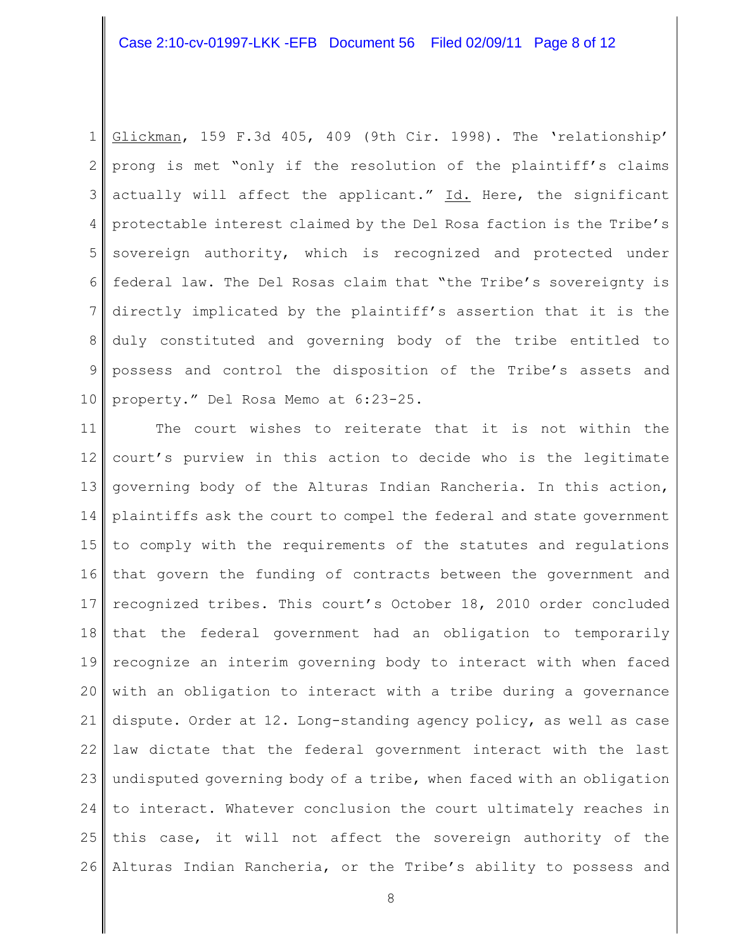1 2 3 4 5 6 7 8 9 10 Glickman, 159 F.3d 405, 409 (9th Cir. 1998). The 'relationship' prong is met "only if the resolution of the plaintiff's claims actually will affect the applicant." Id. Here, the significant protectable interest claimed by the Del Rosa faction is the Tribe's sovereign authority, which is recognized and protected under federal law. The Del Rosas claim that "the Tribe's sovereignty is directly implicated by the plaintiff's assertion that it is the duly constituted and governing body of the tribe entitled to possess and control the disposition of the Tribe's assets and property." Del Rosa Memo at 6:23-25.

11 12 13 14 15 16 17 18 19 20 21 22 23 24 25 26 The court wishes to reiterate that it is not within the court's purview in this action to decide who is the legitimate governing body of the Alturas Indian Rancheria. In this action, plaintiffs ask the court to compel the federal and state government to comply with the requirements of the statutes and regulations that govern the funding of contracts between the government and recognized tribes. This court's October 18, 2010 order concluded that the federal government had an obligation to temporarily recognize an interim governing body to interact with when faced with an obligation to interact with a tribe during a governance dispute. Order at 12. Long-standing agency policy, as well as case law dictate that the federal government interact with the last undisputed governing body of a tribe, when faced with an obligation to interact. Whatever conclusion the court ultimately reaches in this case, it will not affect the sovereign authority of the Alturas Indian Rancheria, or the Tribe's ability to possess and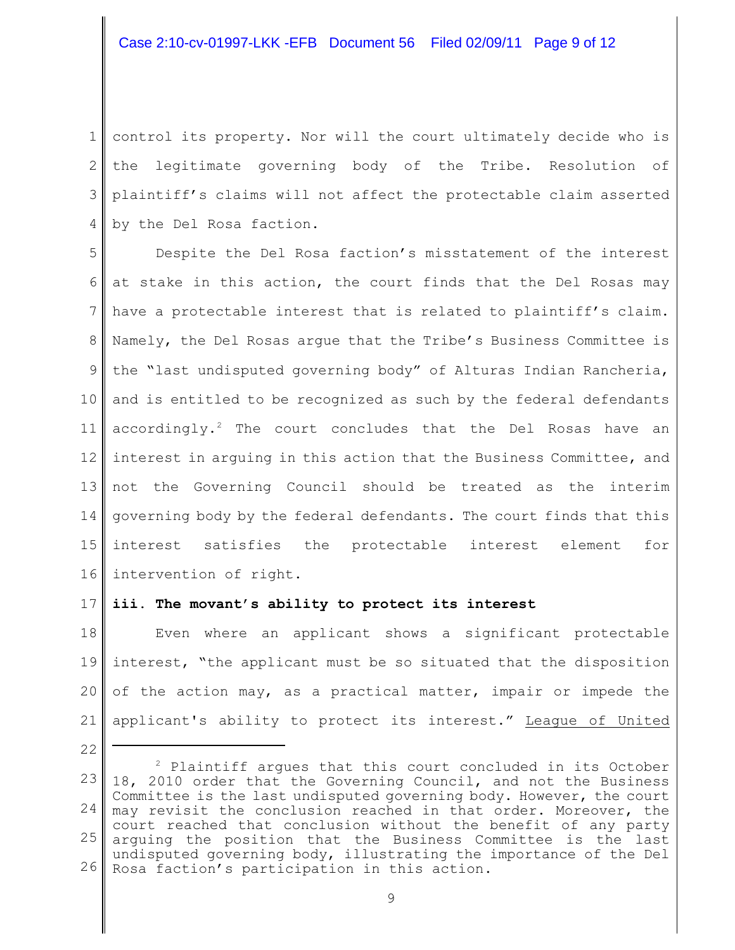1 2 3 4 control its property. Nor will the court ultimately decide who is the legitimate governing body of the Tribe. Resolution of plaintiff's claims will not affect the protectable claim asserted by the Del Rosa faction.

5 6 7 8 9 10 11 12 13 14 15 16 Despite the Del Rosa faction's misstatement of the interest at stake in this action, the court finds that the Del Rosas may have a protectable interest that is related to plaintiff's claim. Namely, the Del Rosas argue that the Tribe's Business Committee is the "last undisputed governing body" of Alturas Indian Rancheria, and is entitled to be recognized as such by the federal defendants accordingly.<sup>2</sup> The court concludes that the Del Rosas have an interest in arguing in this action that the Business Committee, and not the Governing Council should be treated as the interim governing body by the federal defendants. The court finds that this interest satisfies the protectable interest element for intervention of right.

### 17 **iii. The movant's ability to protect its interest**

22

18 19 20 21 Even where an applicant shows a significant protectable interest, "the applicant must be so situated that the disposition of the action may, as a practical matter, impair or impede the applicant's ability to protect its interest." League of United

<sup>23</sup> 24 25 26  $P$  Plaintiff argues that this court concluded in its October 18, 2010 order that the Governing Council, and not the Business Committee is the last undisputed governing body. However, the court may revisit the conclusion reached in that order. Moreover, the court reached that conclusion without the benefit of any party arguing the position that the Business Committee is the last undisputed governing body, illustrating the importance of the Del Rosa faction's participation in this action.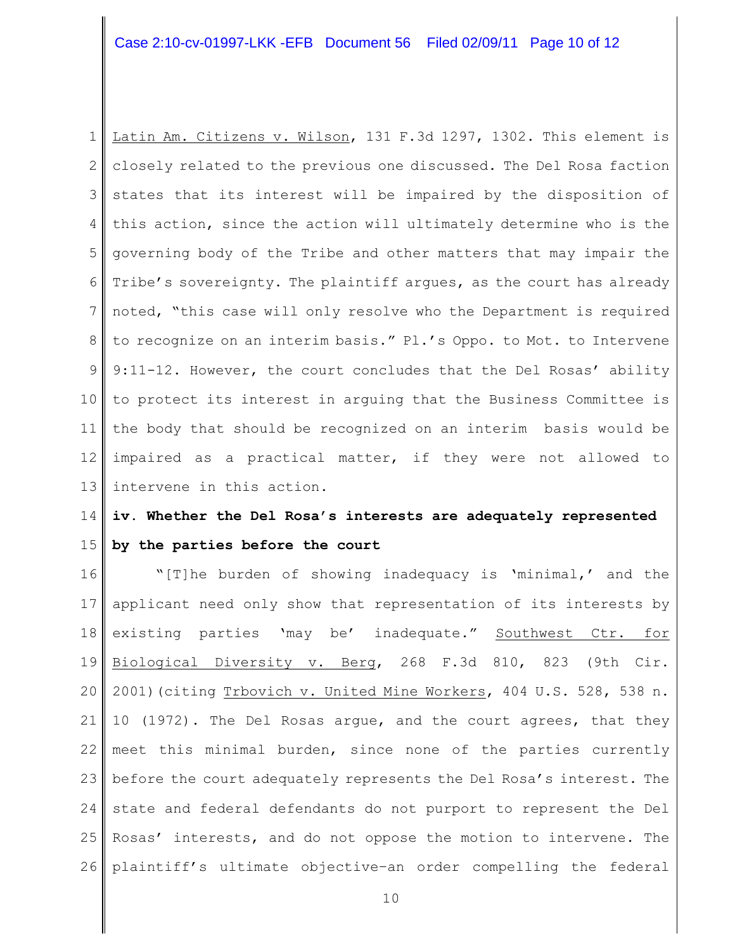1 2 3 4 5 6 7 8 9 10 11 12 13 Latin Am. Citizens v. Wilson, 131 F.3d 1297, 1302. This element is closely related to the previous one discussed. The Del Rosa faction states that its interest will be impaired by the disposition of this action, since the action will ultimately determine who is the governing body of the Tribe and other matters that may impair the Tribe's sovereignty. The plaintiff argues, as the court has already noted, "this case will only resolve who the Department is required to recognize on an interim basis." Pl.'s Oppo. to Mot. to Intervene 9:11-12. However, the court concludes that the Del Rosas' ability to protect its interest in arguing that the Business Committee is the body that should be recognized on an interim basis would be impaired as a practical matter, if they were not allowed to intervene in this action.

### 14 15 **iv. Whether the Del Rosa's interests are adequately represented by the parties before the court**

16 17 18 19 20 21 22 23 24 25 26 "[T]he burden of showing inadequacy is 'minimal,' and the applicant need only show that representation of its interests by existing parties 'may be' inadequate." Southwest Ctr. for Biological Diversity v. Berg, 268 F.3d 810, 823 (9th Cir. 2001)(citing Trbovich v. United Mine Workers, 404 U.S. 528, 538 n. 10 (1972). The Del Rosas argue, and the court agrees, that they meet this minimal burden, since none of the parties currently before the court adequately represents the Del Rosa's interest. The state and federal defendants do not purport to represent the Del Rosas' interests, and do not oppose the motion to intervene. The plaintiff's ultimate objective–an order compelling the federal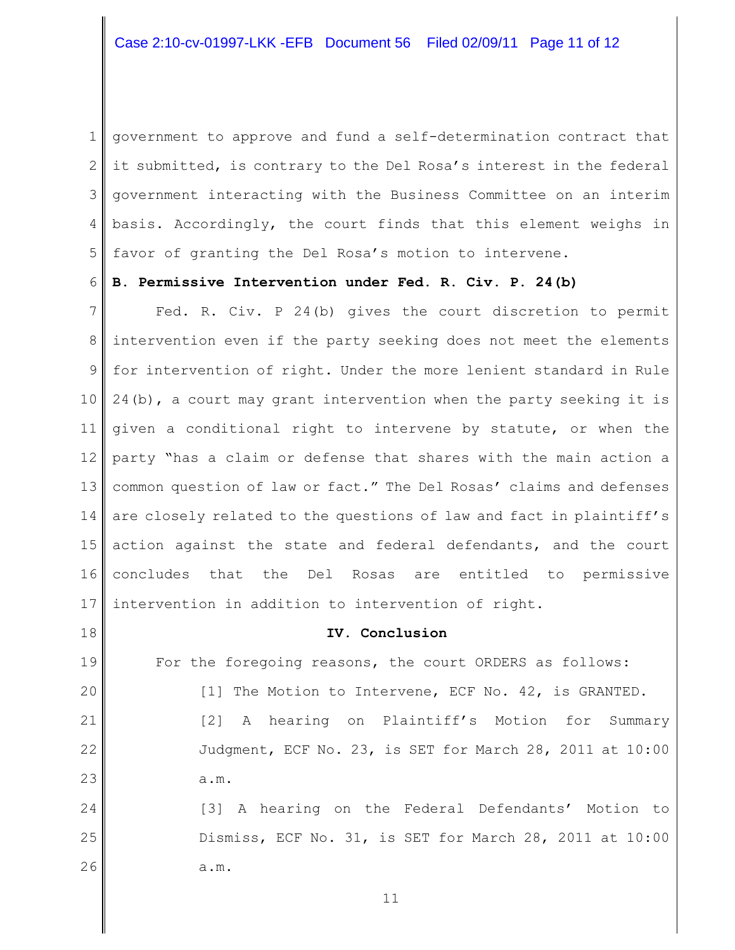1 2 3 4 5 government to approve and fund a self-determination contract that it submitted, is contrary to the Del Rosa's interest in the federal government interacting with the Business Committee on an interim basis. Accordingly, the court finds that this element weighs in favor of granting the Del Rosa's motion to intervene.

#### 6 **B. Permissive Intervention under Fed. R. Civ. P. 24(b)**

7 8 9 10 11 12 13 14 15 16 17 Fed. R. Civ. P 24(b) gives the court discretion to permit intervention even if the party seeking does not meet the elements for intervention of right. Under the more lenient standard in Rule 24(b), a court may grant intervention when the party seeking it is given a conditional right to intervene by statute, or when the party "has a claim or defense that shares with the main action a common question of law or fact." The Del Rosas' claims and defenses are closely related to the questions of law and fact in plaintiff's action against the state and federal defendants, and the court concludes that the Del Rosas are entitled to permissive intervention in addition to intervention of right.

# **IV. Conclusion**

19 20 For the foregoing reasons, the court ORDERS as follows: [1] The Motion to Intervene, ECF No. 42, is GRANTED.

18

21

22

23

[2] A hearing on Plaintiff's Motion for Summary Judgment, ECF No. 23, is SET for March 28, 2011 at 10:00 a.m.

24 25 26 [3] A hearing on the Federal Defendants' Motion to Dismiss, ECF No. 31, is SET for March 28, 2011 at 10:00 a.m.